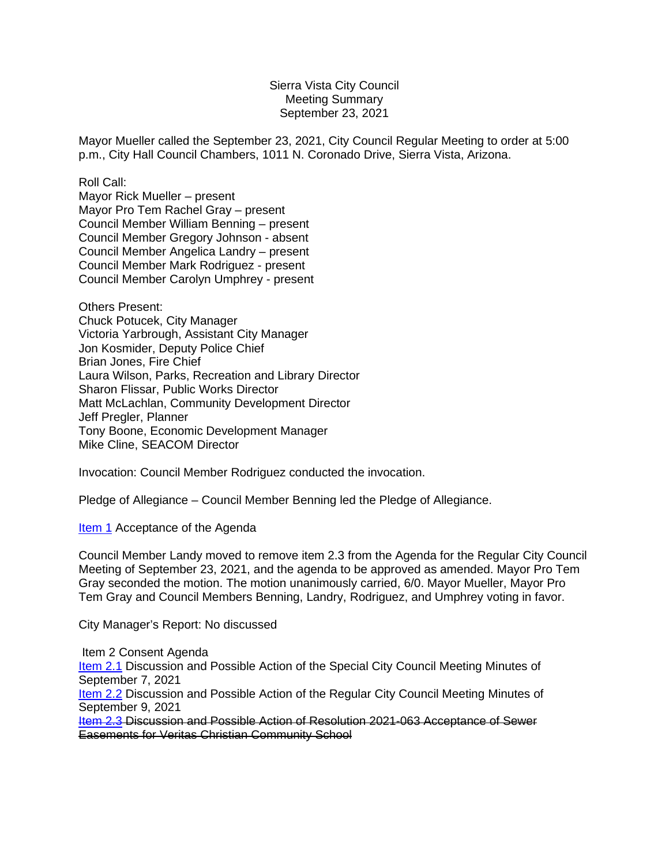## Sierra Vista City Council Meeting Summary September 23, 2021

Mayor Mueller called the September 23, 2021, City Council Regular Meeting to order at 5:00 p.m., City Hall Council Chambers, 1011 N. Coronado Drive, Sierra Vista, Arizona.

Roll Call:

Mayor Rick Mueller – present Mayor Pro Tem Rachel Gray – present Council Member William Benning – present Council Member Gregory Johnson - absent Council Member Angelica Landry – present Council Member Mark Rodriguez - present Council Member Carolyn Umphrey - present

Others Present: Chuck Potucek, City Manager Victoria Yarbrough, Assistant City Manager Jon Kosmider, Deputy Police Chief Brian Jones, Fire Chief Laura Wilson, Parks, Recreation and Library Director Sharon Flissar, Public Works Director Matt McLachlan, Community Development Director Jeff Pregler, Planner Tony Boone, Economic Development Manager Mike Cline, SEACOM Director

Invocation: Council Member Rodriguez conducted the invocation.

Pledge of Allegiance – Council Member Benning led the Pledge of Allegiance.

[Item 1](http://docserve.sierravistaaz.gov/Home/City%20Council/City%20Council%20Meeting%20Agenda/2021%20Council%20Meeting/09%2023%2021/Item%201%20Agenda%20Regular%20Meeting%20092321.pdf) Acceptance of the Agenda

Council Member Landy moved to remove item 2.3 from the Agenda for the Regular City Council Meeting of September 23, 2021, and the agenda to be approved as amended. Mayor Pro Tem Gray seconded the motion. The motion unanimously carried, 6/0. Mayor Mueller, Mayor Pro Tem Gray and Council Members Benning, Landry, Rodriguez, and Umphrey voting in favor.

City Manager's Report: No discussed

Item 2 Consent Agenda [Item 2.1](http://docserve.sierravistaaz.gov/Home/City%20Council/City%20Council%20Meeting%20Agenda/2021%20Council%20Meeting/09%2023%2021/Item%202.1%20090721%20Special%20Meeting%20Mintues.pdf) Discussion and Possible Action of the Special City Council Meeting Minutes of September 7, 2021

**[Item 2.2](http://docserve.sierravistaaz.gov/Home/City%20Council/City%20Council%20Meeting%20Agenda/2021%20Council%20Meeting/09%2023%2021/Item%202.2%20090921%20Regular%20Meeting%20Minutes.pdf) Discussion and Possible Action of the Regular City Council Meeting Minutes of** September 9, 2021

[Item 2.3](http://docserve.sierravistaaz.gov/Home/City%20Council/City%20Council%20Meeting%20Agenda/2021%20Council%20Meeting/09%2023%2021/Item%202.3%20Res.%202021-063%20Veritas%20Sewer%20Easements.pdf) Discussion and Possible Action of Resolution 2021-063 Acceptance of Sewer Easements for Veritas Christian Community School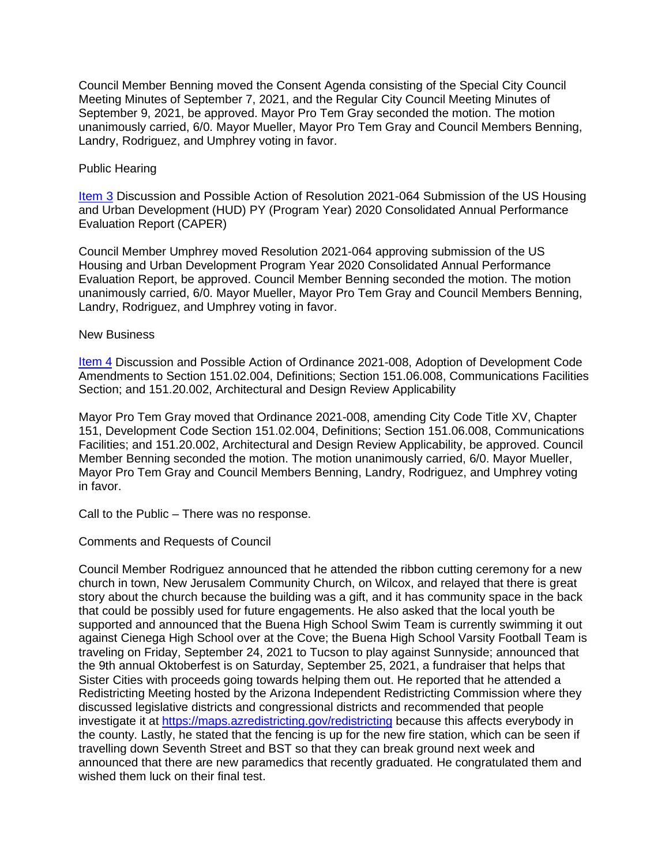Council Member Benning moved the Consent Agenda consisting of the Special City Council Meeting Minutes of September 7, 2021, and the Regular City Council Meeting Minutes of September 9, 2021, be approved. Mayor Pro Tem Gray seconded the motion. The motion unanimously carried, 6/0. Mayor Mueller, Mayor Pro Tem Gray and Council Members Benning, Landry, Rodriguez, and Umphrey voting in favor.

## Public Hearing

[Item 3](http://docserve.sierravistaaz.gov/Home/City%20Council/City%20Council%20Meeting%20Agenda/2021%20Council%20Meeting/09%2023%2021/Item%203%20Attachment%20-%20PY%202020%20CAPER%20-%20CITY%20OF%20SIERRA%20VISTA%20AZ.pdf) Discussion and Possible Action of Resolution 2021-064 Submission of the US Housing and Urban Development (HUD) PY (Program Year) 2020 Consolidated Annual Performance Evaluation Report (CAPER)

Council Member Umphrey moved Resolution 2021-064 approving submission of the US Housing and Urban Development Program Year 2020 Consolidated Annual Performance Evaluation Report, be approved. Council Member Benning seconded the motion. The motion unanimously carried, 6/0. Mayor Mueller, Mayor Pro Tem Gray and Council Members Benning, Landry, Rodriguez, and Umphrey voting in favor.

## New Business

[Item 4](http://docserve.sierravistaaz.gov/Home/City%20Council/City%20Council%20Meeting%20Agenda/2021%20Council%20Meeting/09%2023%2021/Item%204%20Ord%202021-008%20Dev.%20Code%20Amendmentsl.pdf) Discussion and Possible Action of Ordinance 2021-008, Adoption of Development Code Amendments to Section 151.02.004, Definitions; Section 151.06.008, Communications Facilities Section; and 151.20.002, Architectural and Design Review Applicability

Mayor Pro Tem Gray moved that Ordinance 2021-008, amending City Code Title XV, Chapter 151, Development Code Section 151.02.004, Definitions; Section 151.06.008, Communications Facilities; and 151.20.002, Architectural and Design Review Applicability, be approved. Council Member Benning seconded the motion. The motion unanimously carried, 6/0. Mayor Mueller, Mayor Pro Tem Gray and Council Members Benning, Landry, Rodriguez, and Umphrey voting in favor.

Call to the Public – There was no response.

Comments and Requests of Council

Council Member Rodriguez announced that he attended the ribbon cutting ceremony for a new church in town, New Jerusalem Community Church, on Wilcox, and relayed that there is great story about the church because the building was a gift, and it has community space in the back that could be possibly used for future engagements. He also asked that the local youth be supported and announced that the Buena High School Swim Team is currently swimming it out against Cienega High School over at the Cove; the Buena High School Varsity Football Team is traveling on Friday, September 24, 2021 to Tucson to play against Sunnyside; announced that the 9th annual Oktoberfest is on Saturday, September 25, 2021, a fundraiser that helps that Sister Cities with proceeds going towards helping them out. He reported that he attended a Redistricting Meeting hosted by the Arizona Independent Redistricting Commission where they discussed legislative districts and congressional districts and recommended that people investigate it at<https://maps.azredistricting.gov/redistricting> because this affects everybody in the county. Lastly, he stated that the fencing is up for the new fire station, which can be seen if travelling down Seventh Street and BST so that they can break ground next week and announced that there are new paramedics that recently graduated. He congratulated them and wished them luck on their final test.